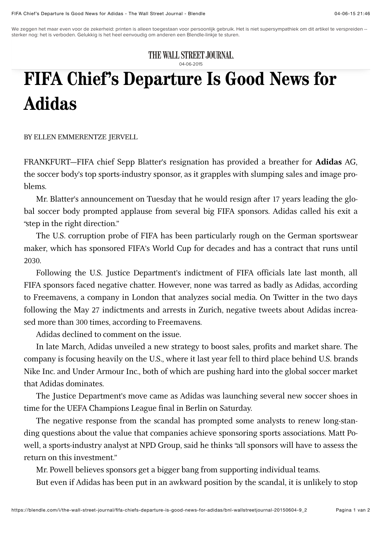We zeggen het maar even voor de zekerheid: printen is alleen toegestaan voor persoonlijk gebruik. Het is niet supersympathiek om dit artikel te verspreiden --<br>sterker nog: het is verboden. Gelukkig is het heel eenvoudig om sterker nog: het is verboden. Gelukkig is het heel eenvoudig om anderen een Blendle-linkje te sturen.

THE WALL STREET JOURNAL.

04-06-2015

## **FIFA Chief's Departure Is Good News for Adidas**

BY ELLEN EMMERENTZE JERVELL

FRANKFURT—FIFA chief Sepp Blatter's resignation has provided a breather for **Adidas** AG, the soccer body's top sports-industry sponsor, as it grapples with slumping sales and image problems.

Mr. Blatter's announcement on Tuesday that he would resign after 17 years leading the global soccer body prompted applause from several big FIFA sponsors. Adidas called his exit a "step in the right direction."

The U.S. corruption probe of FIFA has been particularly rough on the German sportswear maker, which has sponsored FIFA's World Cup for decades and has a contract that runs until 2030.

Following the U.S. Justice Department's indictment of FIFA officials late last month, all FIFA sponsors faced negative chatter. However, none was tarred as badly as Adidas, according to Freemavens, a company in London that analyzes social media. On Twitter in the two days following the May 27 indictments and arrests in Zurich, negative tweets about Adidas increased more than 300 times, according to Freemavens.

Adidas declined to comment on the issue.

In late March, Adidas unveiled a new strategy to boost sales, profits and market share. The company is focusing heavily on the U.S., where it last year fell to third place behind U.S. brands Nike Inc. and Under Armour Inc., both of which are pushing hard into the global soccer market that Adidas dominates.

The Justice Department's move came as Adidas was launching several new soccer shoes in time for the UEFA Champions League final in Berlin on Saturday.

The negative response from the scandal has prompted some analysts to renew long-standing questions about the value that companies achieve sponsoring sports associations. Matt Powell, a sports-industry analyst at NPD Group, said he thinks "all sponsors will have to assess the return on this investment"

Mr. Powell believes sponsors get a bigger bang from supporting individual teams.

But even if Adidas has been put in an awkward position by the scandal, it is unlikely to stop